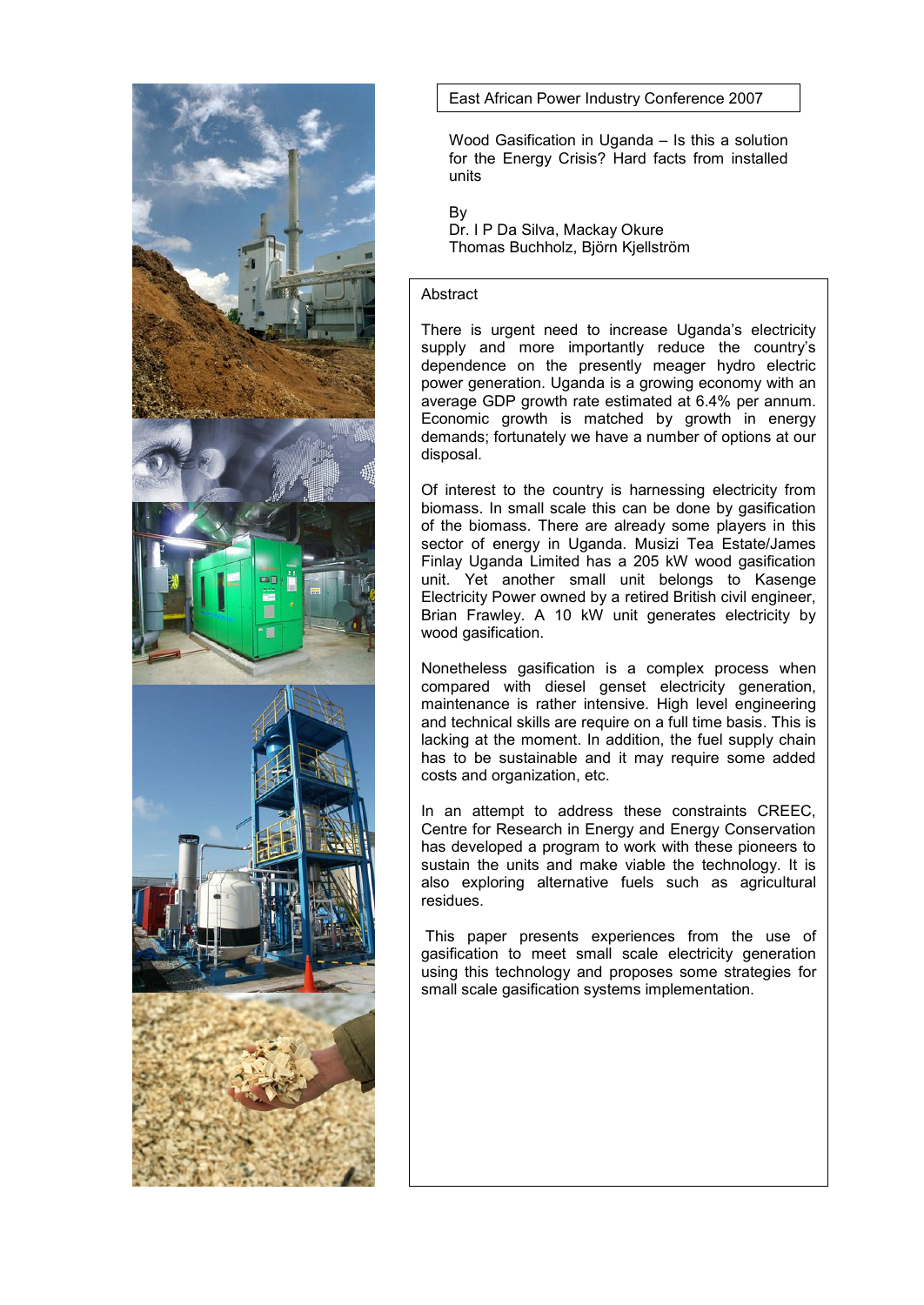

East African Power Industry Conference 2007

Wood Gasification in Uganda – Is this a solution for the Energy Crisis? Hard facts from installed units

By

Dr. I P Da Silva, Mackay Okure Thomas Buchholz, Björn Kjellström

## **Abstract**

There is urgent need to increase Uganda"s electricity supply and more importantly reduce the country's dependence on the presently meager hydro electric power generation. Uganda is a growing economy with an average GDP growth rate estimated at 6.4% per annum. Economic growth is matched by growth in energy demands; fortunately we have a number of options at our disposal.

Of interest to the country is harnessing electricity from biomass. In small scale this can be done by gasification of the biomass. There are already some players in this sector of energy in Uganda. Musizi Tea Estate/James Finlay Uganda Limited has a 205 kW wood gasification unit. Yet another small unit belongs to Kasenge Electricity Power owned by a retired British civil engineer, Brian Frawley. A 10 kW unit generates electricity by wood gasification.

Nonetheless gasification is a complex process when compared with diesel genset electricity generation, maintenance is rather intensive. High level engineering and technical skills are require on a full time basis. This is lacking at the moment. In addition, the fuel supply chain has to be sustainable and it may require some added costs and organization, etc.

In an attempt to address these constraints CREEC, Centre for Research in Energy and Energy Conservation has developed a program to work with these pioneers to sustain the units and make viable the technology. It is also exploring alternative fuels such as agricultural residues.

This paper presents experiences from the use of gasification to meet small scale electricity generation using this technology and proposes some strategies for small scale gasification systems implementation.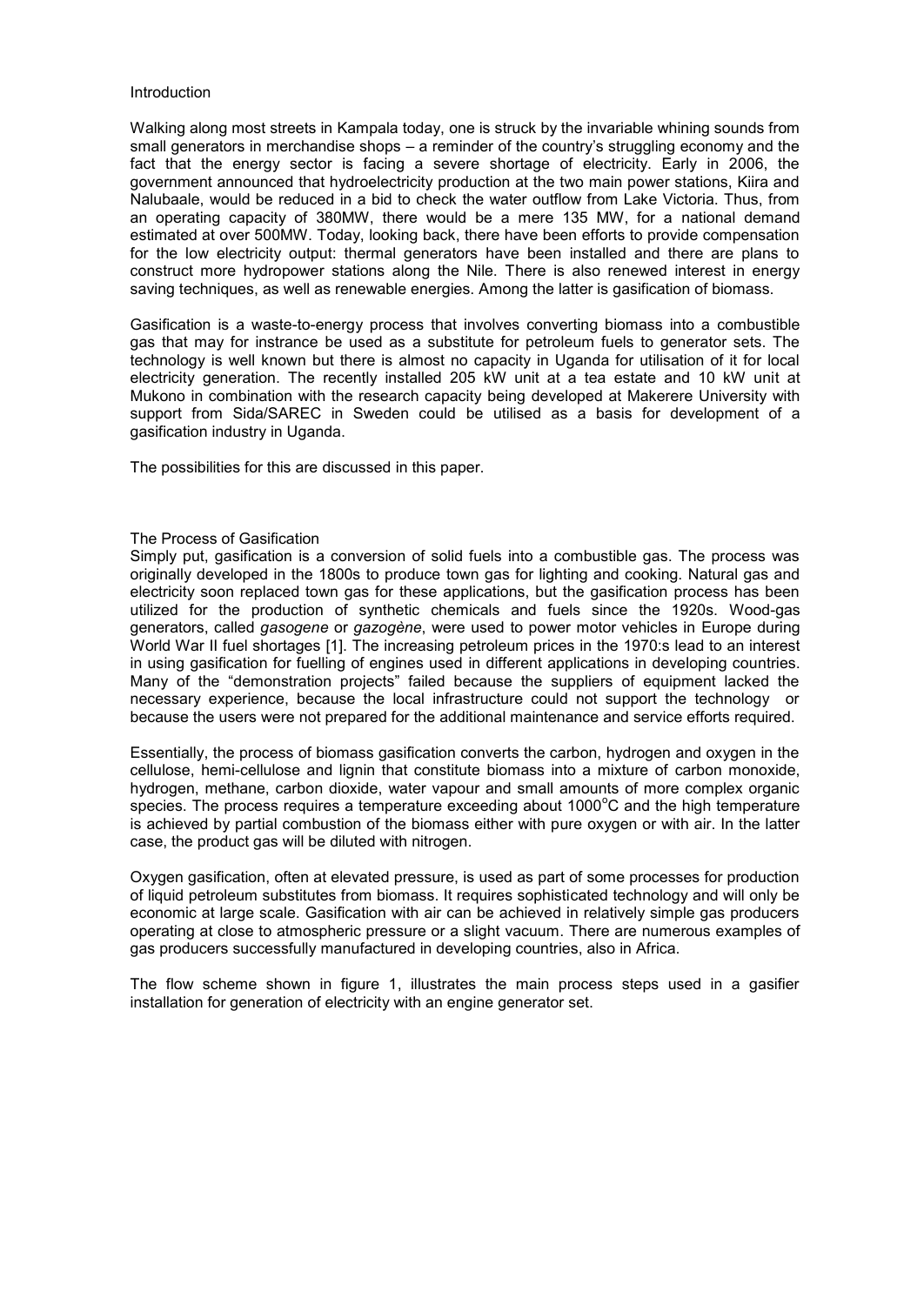#### Introduction

Walking along most streets in Kampala today, one is struck by the invariable whining sounds from small generators in merchandise shops – a reminder of the country"s struggling economy and the fact that the energy sector is facing a severe shortage of electricity. Early in 2006, the government announced that hydroelectricity production at the two main power stations, Kiira and Nalubaale, would be reduced in a bid to check the water outflow from Lake Victoria. Thus, from an operating capacity of 380MW, there would be a mere 135 MW, for a national demand estimated at over 500MW. Today, looking back, there have been efforts to provide compensation for the low electricity output: thermal generators have been installed and there are plans to construct more hydropower stations along the Nile. There is also renewed interest in energy saving techniques, as well as renewable energies. Among the latter is gasification of biomass.

Gasification is a waste-to-energy process that involves converting biomass into a combustible gas that may for instrance be used as a substitute for petroleum fuels to generator sets. The technology is well known but there is almost no capacity in Uganda for utilisation of it for local electricity generation. The recently installed 205 kW unit at a tea estate and 10 kW unit at Mukono in combination with the research capacity being developed at Makerere University with support from Sida/SAREC in Sweden could be utilised as a basis for development of a gasification industry in Uganda.

The possibilities for this are discussed in this paper.

### The Process of Gasification

Simply put, gasification is a conversion of solid fuels into a combustible gas. The process was originally developed in the 1800s to produce [town gas](http://www.answers.com/topic/manufactured-gas) for lighting and cooking. Natural gas and electricity soon replaced town gas for these applications, but the gasification process has been utilized for the production of synthetic chemicals and fuels since the 1920s. [Wood-gas](http://www.answers.com/topic/wood-gas-generator)  [generators,](http://www.answers.com/topic/wood-gas-generator) called *gasogene* or *gazogène*, were used to power motor vehicles in [Europe](http://www.answers.com/topic/europe) during [World War II](http://www.answers.com/topic/world-war-ii) fuel shortages [\[1\].](http://www.answers.com/gasification?cat=technology#wp-_note-0) The increasing petroleum prices in the 1970:s lead to an interest in using gasification for fuelling of engines used in different applications in developing countries. Many of the "demonstration projects" failed because the suppliers of equipment lacked the necessary experience, because the local infrastructure could not support the technology or because the users were not prepared for the additional maintenance and service efforts required.

Essentially, the process of biomass gasification converts the carbon, hydrogen and oxygen in the cellulose, hemi-cellulose and lignin that constitute biomass into a mixture of carbon monoxide, hydrogen, methane, carbon dioxide, water vapour and small amounts of more complex organic species. The process requires a temperature exceeding about 1000°C and the high temperature is achieved by partial combustion of the biomass either with pure oxygen or with air. In the latter case, the product gas will be diluted with nitrogen.

Oxygen gasification, often at elevated pressure, is used as part of some processes for production of liquid petroleum substitutes from biomass. It requires sophisticated technology and will only be economic at large scale. Gasification with air can be achieved in relatively simple gas producers operating at close to atmospheric pressure or a slight vacuum. There are numerous examples of gas producers successfully manufactured in developing countries, also in Africa.

The flow scheme shown in figure 1, illustrates the main process steps used in a gasifier installation for generation of electricity with an engine generator set.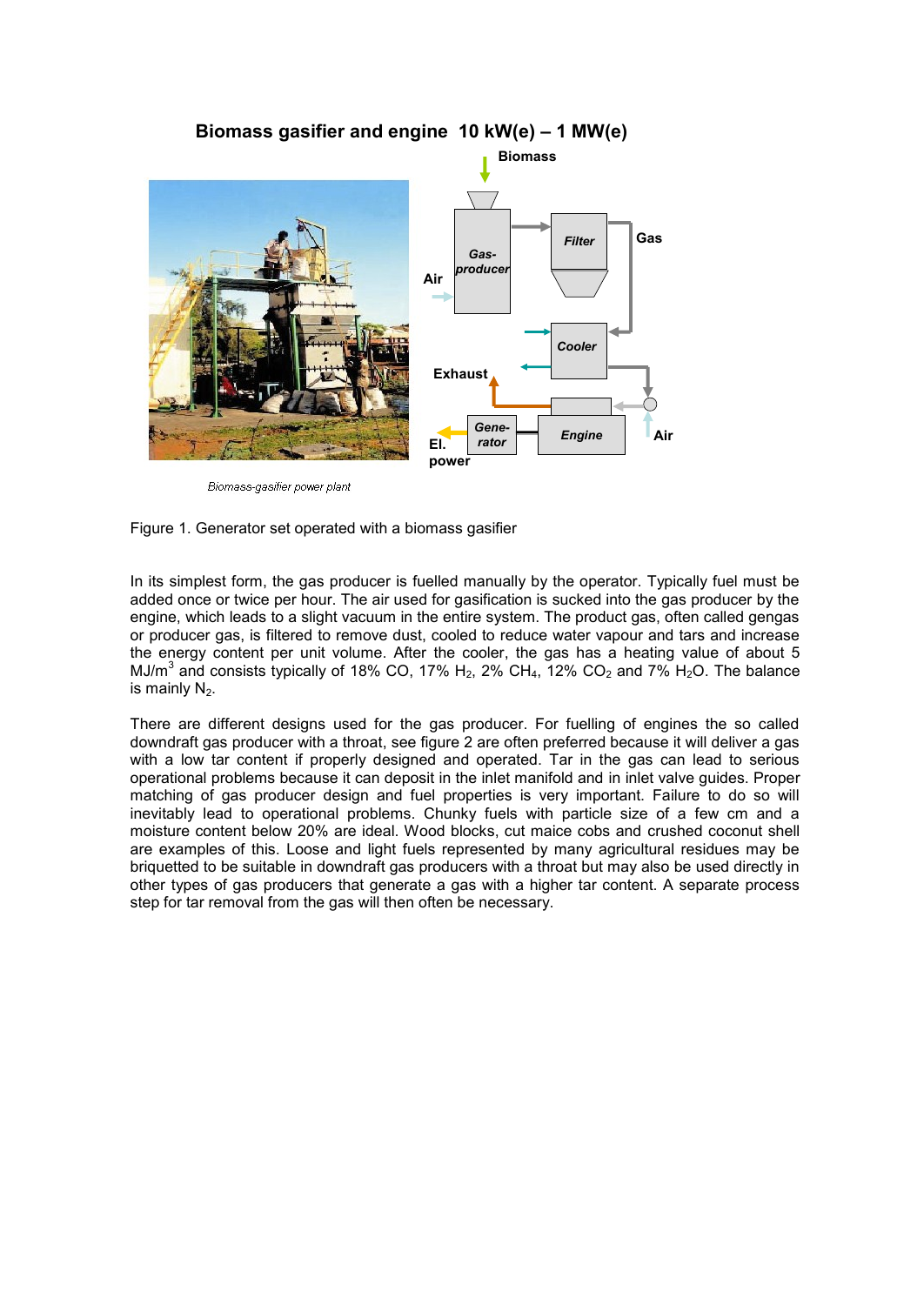

Biomass-gasifier power plant

#### Figure 1. Generator set operated with a biomass gasifier

In its simplest form, the gas producer is fuelled manually by the operator. Typically fuel must be added once or twice per hour. The air used for gasification is sucked into the gas producer by the engine, which leads to a slight vacuum in the entire system. The product gas, often called gengas or producer gas, is filtered to remove dust, cooled to reduce water vapour and tars and increase the energy content per unit volume. After the cooler, the gas has a heating value of about 5 MJ/ $m^3$  and consists typically of 18% CO, 17% H<sub>2</sub>, 2% CH<sub>4</sub>, 12% CO<sub>2</sub> and 7% H<sub>2</sub>O. The balance is mainly  $N<sub>2</sub>$ .

There are different designs used for the gas producer. For fuelling of engines the so called downdraft gas producer with a throat, see figure 2 are often preferred because it will deliver a gas with a low tar content if properly designed and operated. Tar in the gas can lead to serious operational problems because it can deposit in the inlet manifold and in inlet valve guides. Proper matching of gas producer design and fuel properties is very important. Failure to do so will inevitably lead to operational problems. Chunky fuels with particle size of a few cm and a moisture content below 20% are ideal. Wood blocks, cut maice cobs and crushed coconut shell are examples of this. Loose and light fuels represented by many agricultural residues may be briquetted to be suitable in downdraft gas producers with a throat but may also be used directly in other types of gas producers that generate a gas with a higher tar content. A separate process step for tar removal from the gas will then often be necessary.

# **Biomass gasifier and engine 10 kW(e) – 1 MW(e)**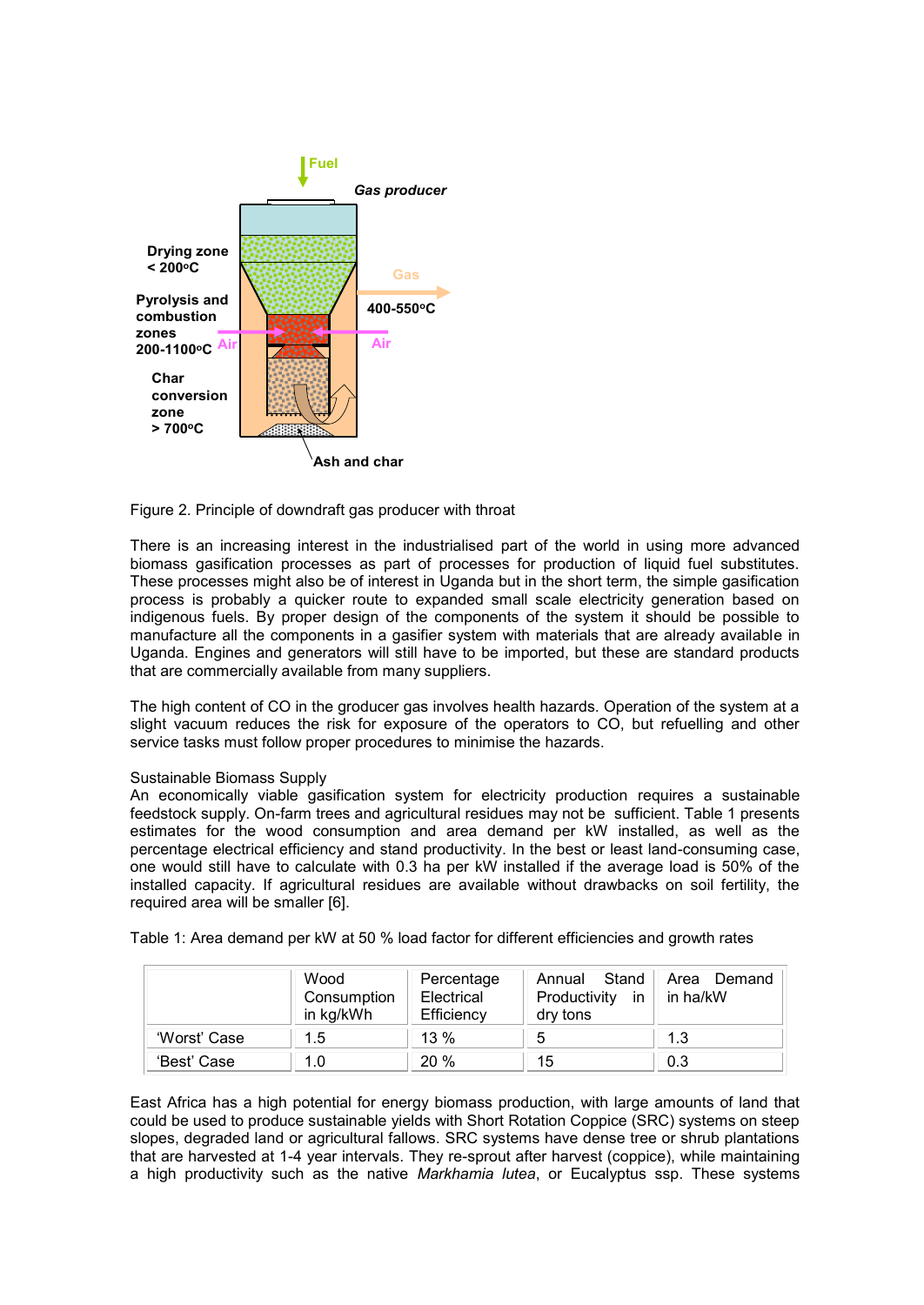

Figure 2. Principle of downdraft gas producer with throat

There is an increasing interest in the industrialised part of the world in using more advanced biomass gasification processes as part of processes for production of liquid fuel substitutes. These processes might also be of interest in Uganda but in the short term, the simple gasification process is probably a quicker route to expanded small scale electricity generation based on indigenous fuels. By proper design of the components of the system it should be possible to manufacture all the components in a gasifier system with materials that are already available in Uganda. Engines and generators will still have to be imported, but these are standard products that are commercially available from many suppliers.

The high content of CO in the groducer gas involves health hazards. Operation of the system at a slight vacuum reduces the risk for exposure of the operators to CO, but refuelling and other service tasks must follow proper procedures to minimise the hazards.

#### Sustainable Biomass Supply

An economically viable gasification system for electricity production requires a sustainable feedstock supply. On-farm trees and agricultural residues may not be sufficient. Table 1 presents estimates for the wood consumption and area demand per kW installed, as well as the percentage electrical efficiency and stand productivity. In the best or least land-consuming case, one would still have to calculate with 0.3 ha per kW installed if the average load is 50% of the installed capacity. If agricultural residues are available without drawbacks on soil fertility, the required area will be smaller [6].

Table 1: Area demand per kW at 50 % load factor for different efficiencies and growth rates

|              | Wood<br>Consumption<br>in kg/kWh | Percentage<br>Electrical<br>Efficiency | Annual Stand<br>Productivity in $ $<br>dry tons | Area Demand<br>in ha/kW |
|--------------|----------------------------------|----------------------------------------|-------------------------------------------------|-------------------------|
| 'Worst' Case | 1.5                              | $13\%$                                 | 5                                               | 1.3                     |
| 'Best' Case  | 1.0                              | 20%                                    | 15                                              | 0.3                     |

East Africa has a high potential for energy biomass production, with large amounts of land that could be used to produce sustainable yields with Short Rotation Coppice (SRC) systems on steep slopes, degraded land or agricultural fallows. SRC systems have dense tree or shrub plantations that are harvested at 1-4 year intervals. They re-sprout after harvest (coppice), while maintaining a high productivity such as the native *Markhamia lutea*, or Eucalyptus ssp. These systems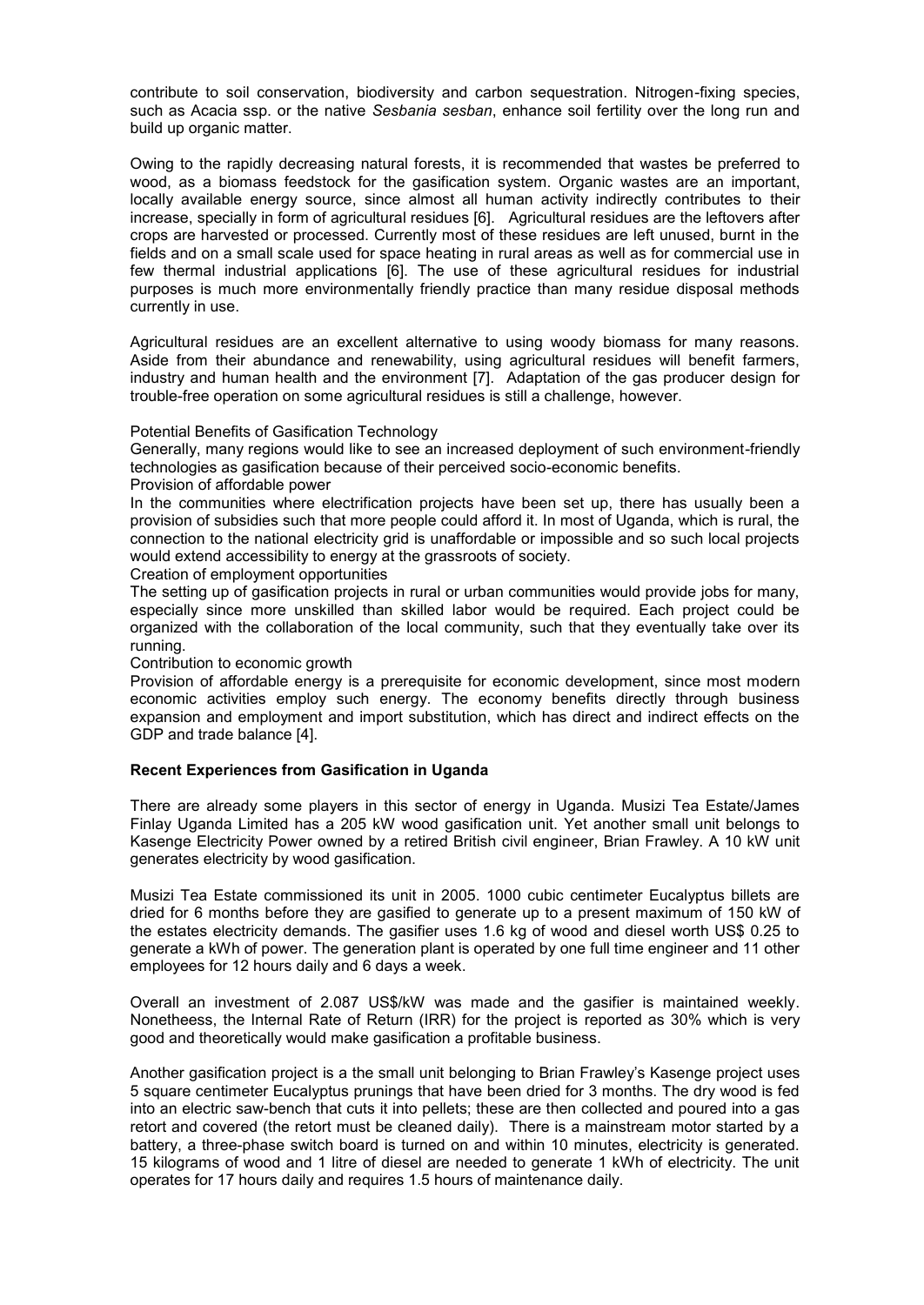contribute to soil conservation, biodiversity and carbon sequestration. Nitrogen-fixing species, such as Acacia ssp. or the native *Sesbania sesban*, enhance soil fertility over the long run and build up organic matter.

Owing to the rapidly decreasing natural forests, it is recommended that wastes be preferred to wood, as a biomass feedstock for the gasification system. Organic wastes are an important, locally available energy source, since almost all human activity indirectly contributes to their increase, specially in form of agricultural residues [6]. Agricultural residues are the leftovers after crops are harvested or processed. Currently most of these residues are left unused, burnt in the fields and on a small scale used for space heating in rural areas as well as for commercial use in few thermal industrial applications [6]. The use of these agricultural residues for industrial purposes is much more environmentally friendly practice than many residue disposal methods currently in use.

Agricultural residues are an excellent alternative to using woody biomass for many reasons. Aside from their abundance and renewability, using agricultural residues will benefit farmers, industry and human health and the environment [7]. Adaptation of the gas producer design for trouble-free operation on some agricultural residues is still a challenge, however.

## Potential Benefits of Gasification Technology

Generally, many regions would like to see an increased deployment of such environment-friendly technologies as gasification because of their perceived socio-economic benefits.

Provision of affordable power

In the communities where electrification projects have been set up, there has usually been a provision of subsidies such that more people could afford it. In most of Uganda, which is rural, the connection to the national electricity grid is unaffordable or impossible and so such local projects would extend accessibility to energy at the grassroots of society.

Creation of employment opportunities

The setting up of gasification projects in rural or urban communities would provide jobs for many, especially since more unskilled than skilled labor would be required. Each project could be organized with the collaboration of the local community, such that they eventually take over its running.

#### Contribution to economic growth

Provision of affordable energy is a prerequisite for economic development, since most modern economic activities employ such energy. The economy benefits directly through business expansion and employment and import substitution, which has direct and indirect effects on the GDP and trade balance [4].

#### **Recent Experiences from Gasification in Uganda**

There are already some players in this sector of energy in Uganda. Musizi Tea Estate/James Finlay Uganda Limited has a 205 kW wood gasification unit. Yet another small unit belongs to Kasenge Electricity Power owned by a retired British civil engineer, Brian Frawley. A 10 kW unit generates electricity by wood gasification.

Musizi Tea Estate commissioned its unit in 2005. 1000 cubic centimeter Eucalyptus billets are dried for 6 months before they are gasified to generate up to a present maximum of 150 kW of the estates electricity demands. The gasifier uses 1.6 kg of wood and diesel worth US\$ 0.25 to generate a kWh of power. The generation plant is operated by one full time engineer and 11 other employees for 12 hours daily and 6 days a week.

Overall an investment of 2.087 US\$/kW was made and the gasifier is maintained weekly. Nonetheess, the Internal Rate of Return (IRR) for the project is reported as 30% which is very good and theoretically would make gasification a profitable business.

Another gasification project is a the small unit belonging to Brian Frawley"s Kasenge project uses 5 square centimeter Eucalyptus prunings that have been dried for 3 months. The dry wood is fed into an electric saw-bench that cuts it into pellets; these are then collected and poured into a gas retort and covered (the retort must be cleaned daily). There is a mainstream motor started by a battery, a three-phase switch board is turned on and within 10 minutes, electricity is generated. 15 kilograms of wood and 1 litre of diesel are needed to generate 1 kWh of electricity. The unit operates for 17 hours daily and requires 1.5 hours of maintenance daily.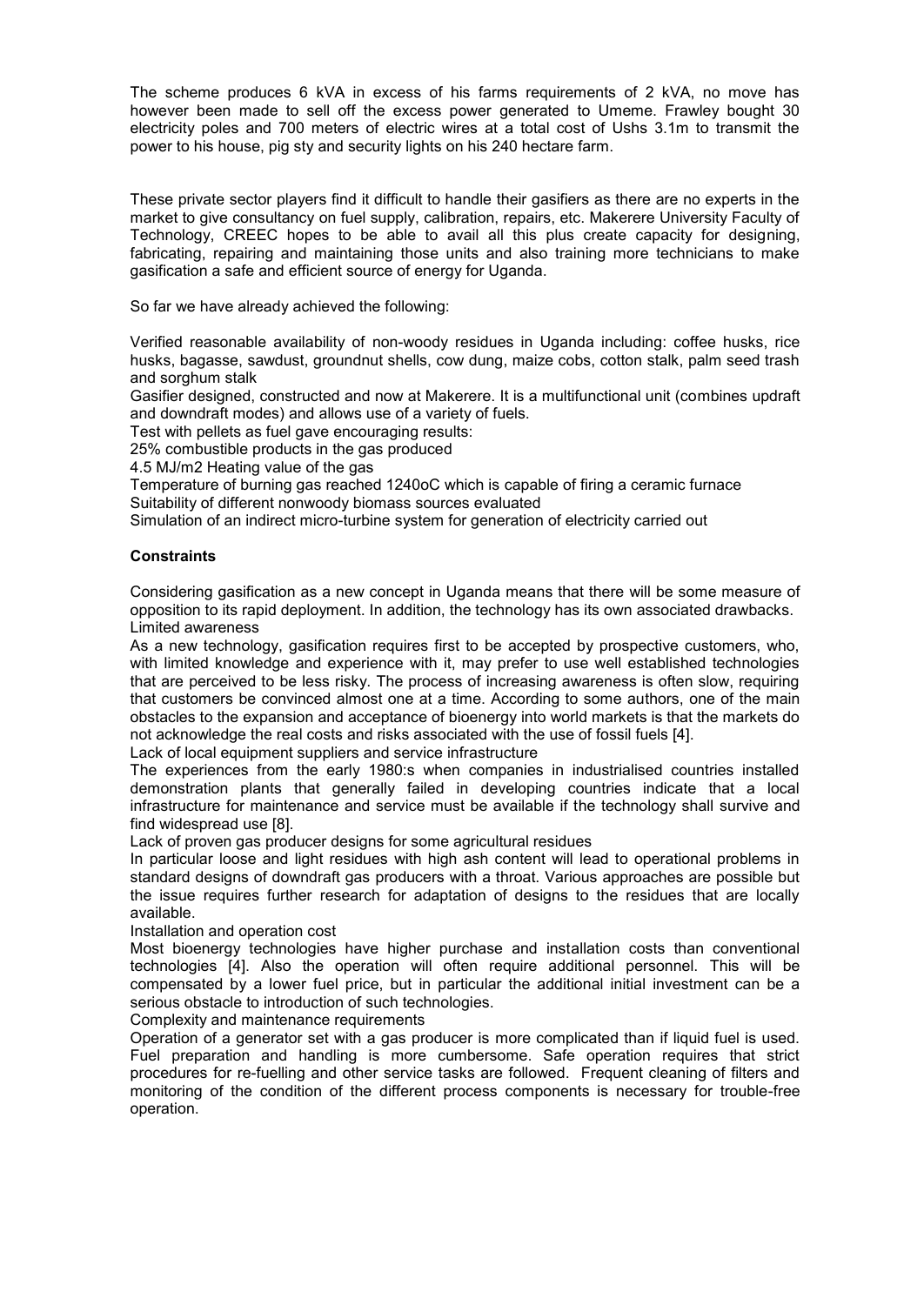The scheme produces 6 kVA in excess of his farms requirements of 2 kVA, no move has however been made to sell off the excess power generated to Umeme. Frawley bought 30 electricity poles and 700 meters of electric wires at a total cost of Ushs 3.1m to transmit the power to his house, pig sty and security lights on his 240 hectare farm.

These private sector players find it difficult to handle their gasifiers as there are no experts in the market to give consultancy on fuel supply, calibration, repairs, etc. Makerere University Faculty of Technology, CREEC hopes to be able to avail all this plus create capacity for designing, fabricating, repairing and maintaining those units and also training more technicians to make gasification a safe and efficient source of energy for Uganda.

So far we have already achieved the following:

Verified reasonable availability of non-woody residues in Uganda including: coffee husks, rice husks, bagasse, sawdust, groundnut shells, cow dung, maize cobs, cotton stalk, palm seed trash and sorghum stalk

Gasifier designed, constructed and now at Makerere. It is a multifunctional unit (combines updraft and downdraft modes) and allows use of a variety of fuels.

Test with pellets as fuel gave encouraging results:

25% combustible products in the gas produced

4.5 MJ/m2 Heating value of the gas

Temperature of burning gas reached 1240oC which is capable of firing a ceramic furnace Suitability of different nonwoody biomass sources evaluated

Simulation of an indirect micro-turbine system for generation of electricity carried out

# **Constraints**

Considering gasification as a new concept in Uganda means that there will be some measure of opposition to its rapid deployment. In addition, the technology has its own associated drawbacks. Limited awareness

As a new technology, gasification requires first to be accepted by prospective customers, who, with limited knowledge and experience with it, may prefer to use well established technologies that are perceived to be less risky. The process of increasing awareness is often slow, requiring that customers be convinced almost one at a time. According to some authors, one of the main obstacles to the expansion and acceptance of bioenergy into world markets is that the markets do not acknowledge the real costs and risks associated with the use of fossil fuels [4].

Lack of local equipment suppliers and service infrastructure

The experiences from the early 1980:s when companies in industrialised countries installed demonstration plants that generally failed in developing countries indicate that a local infrastructure for maintenance and service must be available if the technology shall survive and find widespread use [8].

Lack of proven gas producer designs for some agricultural residues

In particular loose and light residues with high ash content will lead to operational problems in standard designs of downdraft gas producers with a throat. Various approaches are possible but the issue requires further research for adaptation of designs to the residues that are locally available.

## Installation and operation cost

Most bioenergy technologies have higher purchase and installation costs than conventional technologies [4]. Also the operation will often require additional personnel. This will be compensated by a lower fuel price, but in particular the additional initial investment can be a serious obstacle to introduction of such technologies.

Complexity and maintenance requirements

Operation of a generator set with a gas producer is more complicated than if liquid fuel is used. Fuel preparation and handling is more cumbersome. Safe operation requires that strict procedures for re-fuelling and other service tasks are followed. Frequent cleaning of filters and monitoring of the condition of the different process components is necessary for trouble-free operation.